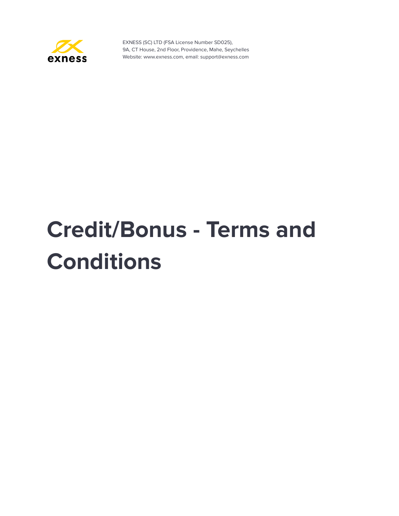

# **Credit/Bonus - Terms and Conditions**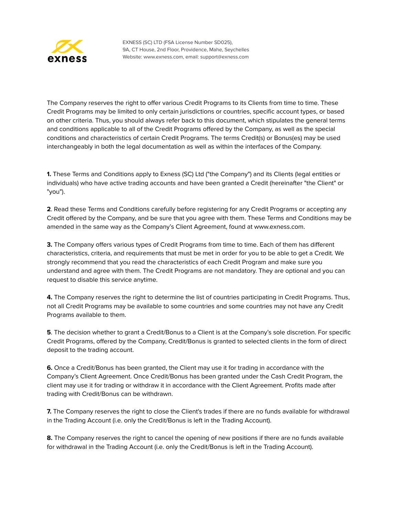

The Company reserves the right to offer various Credit Programs to its Clients from time to time. These Credit Programs may be limited to only certain jurisdictions or countries, specific account types, or based on other criteria. Thus, you should always refer back to this document, which stipulates the general terms and conditions applicable to all of the Credit Programs offered by the Company, as well as the special conditions and characteristics of certain Credit Programs. The terms Credit(s) or Bonus(es) may be used interchangeably in both the legal documentation as well as within the interfaces of the Company.

**1.** These Terms and Conditions apply to Exness (SC) Ltd ("the Company") and its Clients (legal entities or individuals) who have active trading accounts and have been granted a Credit (hereinafter "the Client" or "you").

**2**. Read these Terms and Conditions carefully before registering for any Credit Programs or accepting any Credit offered by the Company, and be sure that you agree with them. These Terms and Conditions may be amended in the same way as the Company's Client Agreement, found at www.exness.com.

**3.** The Company offers various types of Credit Programs from time to time. Each of them has different characteristics, criteria, and requirements that must be met in order for you to be able to get a Credit. We strongly recommend that you read the characteristics of each Credit Program and make sure you understand and agree with them. The Credit Programs are not mandatory. They are optional and you can request to disable this service anytime.

**4.** The Company reserves the right to determine the list of countries participating in Credit Programs. Thus, not all Credit Programs may be available to some countries and some countries may not have any Credit Programs available to them.

**5**. The decision whether to grant a Credit/Bonus to a Client is at the Company's sole discretion. For specific Credit Programs, offered by the Company, Credit/Bonus is granted to selected clients in the form of direct deposit to the trading account.

**6.** Once a Credit/Bonus has been granted, the Client may use it for trading in accordance with the Company's Client Agreement. Once Credit/Bonus has been granted under the Cash Credit Program, the client may use it for trading or withdraw it in accordance with the Client Agreement. Profits made after trading with Credit/Bonus can be withdrawn.

**7.** The Company reserves the right to close the Client's trades if there are no funds available for withdrawal in the Trading Account (i.e. only the Credit/Bonus is left in the Trading Account).

**8.** The Company reserves the right to cancel the opening of new positions if there are no funds available for withdrawal in the Trading Account (i.e. only the Credit/Bonus is left in the Trading Account).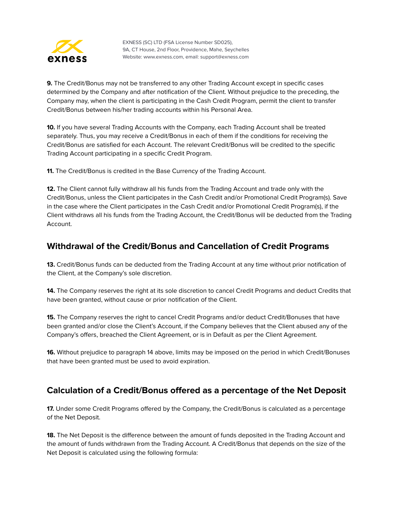

**9.** The Credit/Bonus may not be transferred to any other Trading Account except in specific cases determined by the Company and after notification of the Client. Without prejudice to the preceding, the Company may, when the client is participating in the Cash Credit Program, permit the client to transfer Credit/Bonus between his/her trading accounts within his Personal Area.

**10.** If you have several Trading Accounts with the Company, each Trading Account shall be treated separately. Thus, you may receive a Credit/Bonus in each of them if the conditions for receiving the Credit/Bonus are satisfied for each Account. The relevant Credit/Bonus will be credited to the specific Trading Account participating in a specific Credit Program.

**11.** The Credit/Bonus is credited in the Base Currency of the Trading Account.

**12.** The Client cannot fully withdraw all his funds from the Trading Account and trade only with the Credit/Bonus, unless the Client participates in the Cash Credit and/or Promotional Credit Program(s). Save in the case where the Client participates in the Cash Credit and/or Promotional Credit Program(s), if the Client withdraws all his funds from the Trading Account, the Credit/Bonus will be deducted from the Trading Account.

## **Withdrawal of the Credit/Bonus and Cancellation of Credit Programs**

**13.** Credit/Bonus funds can be deducted from the Trading Account at any time without prior notification of the Client, at the Company's sole discretion.

**14.** The Company reserves the right at its sole discretion to cancel Credit Programs and deduct Credits that have been granted, without cause or prior notification of the Client.

**15.** The Company reserves the right to cancel Credit Programs and/or deduct Credit/Bonuses that have been granted and/or close the Client's Account, if the Company believes that the Client abused any of the Company's offers, breached the Client Agreement, or is in Default as per the Client Agreement.

**16.** Without prejudice to paragraph 14 above, limits may be imposed on the period in which Credit/Bonuses that have been granted must be used to avoid expiration.

# **Calculation of a Credit/Bonus offered as a percentage of the Net Deposit**

**17.** Under some Credit Programs offered by the Company, the Credit/Bonus is calculated as a percentage of the Net Deposit.

**18.** The Net Deposit is the difference between the amount of funds deposited in the Trading Account and the amount of funds withdrawn from the Trading Account. A Credit/Bonus that depends on the size of the Net Deposit is calculated using the following formula: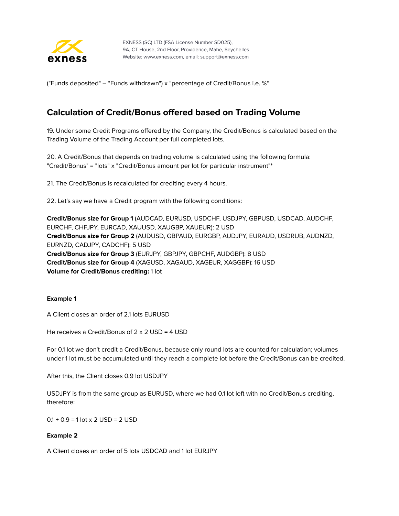

("Funds deposited" – "Funds withdrawn") х "percentage of Credit/Bonus i.e. %"

## **Calculation of Credit/Bonus offered based on Trading Volume**

19. Under some Credit Programs offered by the Company, the Credit/Bonus is calculated based on the Trading Volume of the Trading Account per full completed lots.

20. A Credit/Bonus that depends on trading volume is calculated using the following formula: "Credit/Bonus" = "lots" x "Credit/Bonus amount per lot for particular instrument"\*

21. The Credit/Bonus is recalculated for crediting every 4 hours.

22. Let's say we have a Credit program with the following conditions:

**Credit/Bonus size for Group 1** (AUDCAD, EURUSD, USDCHF, USDJPY, GBPUSD, USDCAD, AUDCHF, EURCHF, CHFJPY, EURCAD, XAUUSD, XAUGBP, XAUEUR): 2 USD **Credit/Bonus size for Group 2** (AUDUSD, GBPAUD, EURGBP, AUDJPY, EURAUD, USDRUB, AUDNZD, EURNZD, CADJPY, CADCHF): 5 USD **Credit/Bonus size for Group 3** (EURJPY, GBPJPY, GBPCHF, AUDGBP): 8 USD **Credit/Bonus size for Group 4** (XAGUSD, XAGAUD, XAGEUR, XAGGBP): 16 USD **Volume for Credit/Bonus crediting:** 1 lot

#### **Example 1**

A Client closes an order of 2.1 lots EURUSD

He receives a Credit/Bonus of 2 x 2 USD = 4 USD

For 0.1 lot we don't credit a Credit/Bonus, because only round lots are counted for calculation; volumes under 1 lot must be accumulated until they reach a complete lot before the Credit/Bonus can be credited.

After this, the Client closes 0.9 lot USDJPY

USDJPY is from the same group as EURUSD, where we had 0.1 lot left with no Credit/Bonus crediting, therefore:

 $0.1 + 0.9 = 1$  lot x 2 USD = 2 USD

#### **Example 2**

A Client closes an order of 5 lots USDCAD and 1 lot EURJPY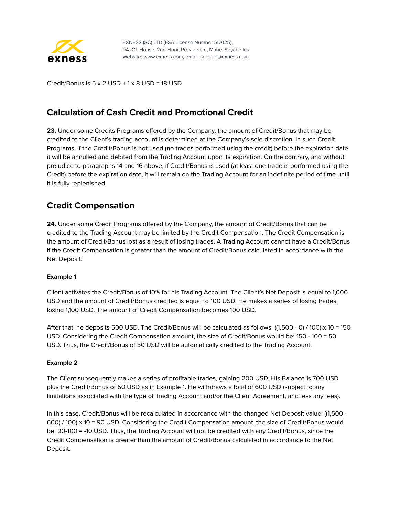

Credit/Bonus is  $5 \times 2$  USD +  $1 \times 8$  USD = 18 USD

# **Calculation of Cash Credit and Promotional Credit**

**23.** Under some Credits Programs offered by the Company, the amount of Credit/Bonus that may be credited to the Client's trading account is determined at the Company's sole discretion. In such Credit Programs, if the Credit/Bonus is not used (no trades performed using the credit) before the expiration date, it will be annulled and debited from the Trading Account upon its expiration. On the contrary, and without prejudice to paragraphs 14 and 16 above, if Credit/Bonus is used (at least one trade is performed using the Credit) before the expiration date, it will remain on the Trading Account for an indefinite period of time until it is fully replenished.

## **Credit Compensation**

**24.** Under some Credit Programs offered by the Company, the amount of Credit/Bonus that can be credited to the Trading Account may be limited by the Credit Compensation. The Credit Compensation is the amount of Credit/Bonus lost as a result of losing trades. A Trading Account cannot have a Credit/Bonus if the Credit Compensation is greater than the amount of Credit/Bonus calculated in accordance with the Net Deposit.

## **Example 1**

Client activates the Credit/Bonus of 10% for his Trading Account. The Client's Net Deposit is equal to 1,000 USD and the amount of Credit/Bonus credited is equal to 100 USD. He makes a series of losing trades, losing 1,100 USD. The amount of Credit Compensation becomes 100 USD.

After that, he deposits 500 USD. The Credit/Bonus will be calculated as follows: ((1,500 - 0) / 100) x 10 = 150 USD. Considering the Credit Compensation amount, the size of Credit/Bonus would be: 150 - 100 = 50 USD. Thus, the Credit/Bonus of 50 USD will be automatically credited to the Trading Account.

#### **Example 2**

The Client subsequently makes a series of profitable trades, gaining 200 USD. His Balance is 700 USD plus the Credit/Bonus of 50 USD as in Example 1. He withdraws a total of 600 USD (subject to any limitations associated with the type of Trading Account and/or the Client Agreement, and less any fees).

In this case, Credit/Bonus will be recalculated in accordance with the changed Net Deposit value: ((1,500 - 600) / 100) x 10 = 90 USD. Considering the Credit Compensation amount, the size of Credit/Bonus would be: 90-100 = -10 USD. Thus, the Trading Account will not be credited with any Credit/Bonus, since the Credit Compensation is greater than the amount of Credit/Bonus calculated in accordance to the Net Deposit.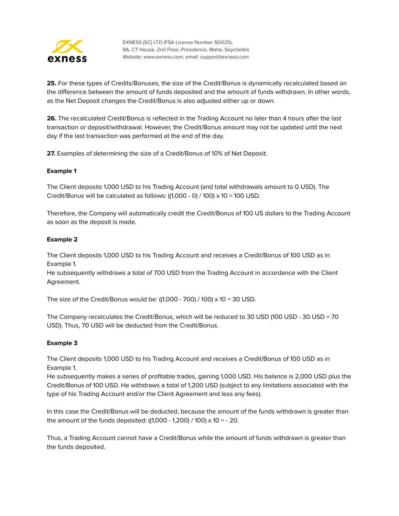

**25.** For these types of Credits/Bonuses, the size of the Credit/Bonus is dynamically recalculated based on the difference between the amount of funds deposited and the amount of funds withdrawn. In other words, as the Net Deposit changes the Credit/Bonus is also adjusted either up or down.

**26.** The recalculated Credit/Bonus is reflected in the Trading Account no later than 4 hours after the last transaction or deposit/withdrawal. However, the Credit/Bonus amount may not be updated until the next day if the last transaction was performed at the end of the day.

**27.** Examples of determining the size of a Credit/Bonus of 10% of Net Deposit:

## **Example 1**

The Client deposits 1,000 USD to his Trading Account (and total withdrawals amount to 0 USD). The Credit/Bonus will be calculated as follows:  $((1,000 - 0) / 100) \times 10 = 100$  USD.

Therefore, the Company will automatically credit the Credit/Bonus of 100 US dollars to the Trading Account as soon as the deposit is made.

#### **Example 2**

The Client deposits 1,000 USD to his Trading Account and receives a Credit/Bonus of 100 USD as in Example 1.

He subsequently withdraws a total of 700 USD from the Trading Account in accordance with the Client Agreement.

The size of the Credit/Bonus would be:  $((1,000 - 700) / 100) \times 10 = 30 \text{ USD}$ .

The Company recalculates the Credit/Bonus, which will be reduced to 30 USD (100 USD - 30 USD = 70 USD). Thus, 70 USD will be deducted from the Credit/Bonus.

## **Example 3**

The Client deposits 1,000 USD to his Trading Account and receives a Credit/Bonus of 100 USD as in Example 1.

He subsequently makes a series of profitable trades, gaining 1,000 USD. His balance is 2,000 USD plus the Credit/Bonus of 100 USD. He withdraws a total of 1,200 USD (subject to any limitations associated with the type of his Trading Account and/or the Client Agreement and less any fees).

In this case the Credit/Bonus will be deducted, because the amount of the funds withdrawn is greater than the amount of the funds deposited: ((1,000 - 1,200) / 100) х 10 = - 20.

Thus, a Trading Account cannot have a Credit/Bonus while the amount of funds withdrawn is greater than the funds deposited.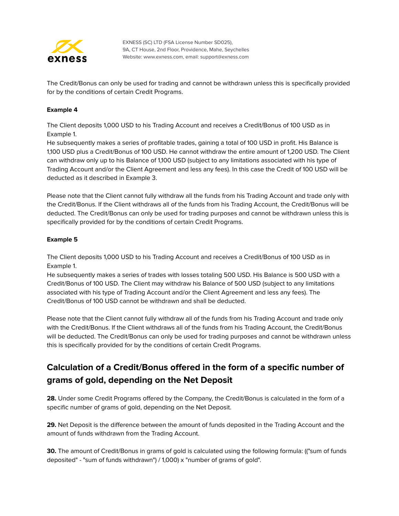

The Credit/Bonus can only be used for trading and cannot be withdrawn unless this is specifically provided for by the conditions of certain Credit Programs.

## **Example 4**

The Client deposits 1,000 USD to his Trading Account and receives a Credit/Bonus of 100 USD as in Example 1.

He subsequently makes a series of profitable trades, gaining a total of 100 USD in profit. His Balance is 1,100 USD plus a Credit/Bonus of 100 USD. He cannot withdraw the entire amount of 1,200 USD. The Client can withdraw only up to his Balance of 1,100 USD (subject to any limitations associated with his type of Trading Account and/or the Client Agreement and less any fees). In this case the Credit of 100 USD will be deducted as it described in Example 3.

Please note that the Client cannot fully withdraw all the funds from his Trading Account and trade only with the Credit/Bonus. If the Client withdraws all of the funds from his Trading Account, the Credit/Bonus will be deducted. The Credit/Bonus can only be used for trading purposes and cannot be withdrawn unless this is specifically provided for by the conditions of certain Credit Programs.

## **Example 5**

The Client deposits 1,000 USD to his Trading Account and receives a Credit/Bonus of 100 USD as in Example 1.

He subsequently makes a series of trades with losses totaling 500 USD. His Balance is 500 USD with a Credit/Bonus of 100 USD. The Client may withdraw his Balance of 500 USD (subject to any limitations associated with his type of Trading Account and/or the Client Agreement and less any fees). The Credit/Bonus of 100 USD cannot be withdrawn and shall be deducted.

Please note that the Client cannot fully withdraw all of the funds from his Trading Account and trade only with the Credit/Bonus. If the Client withdraws all of the funds from his Trading Account, the Credit/Bonus will be deducted. The Credit/Bonus can only be used for trading purposes and cannot be withdrawn unless this is specifically provided for by the conditions of certain Credit Programs.

# **Calculation of a Credit/Bonus offered in the form of a specific number of grams of gold, depending on the Net Deposit**

**28.** Under some Credit Programs offered by the Company, the Credit/Bonus is calculated in the form of a specific number of grams of gold, depending on the Net Deposit.

**29.** Net Deposit is the difference between the amount of funds deposited in the Trading Account and the amount of funds withdrawn from the Trading Account.

**30.** The amount of Credit/Bonus in grams of gold is calculated using the following formula: (("sum of funds deposited" - "sum of funds withdrawn") / 1,000) х "number of grams of gold".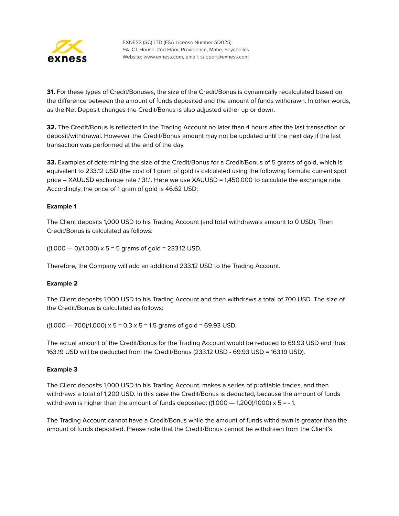

**31.** For these types of Credit/Bonuses, the size of the Credit/Bonus is dynamically recalculated based on the difference between the amount of funds deposited and the amount of funds withdrawn. In other words, as the Net Deposit changes the Credit/Bonus is also adjusted either up or down.

**32.** The Credit/Bonus is reflected in the Trading Account no later than 4 hours after the last transaction or deposit/withdrawal. However, the Credit/Bonus amount may not be updated until the next day if the last transaction was performed at the end of the day.

**33.** Examples of determining the size of the Credit/Bonus for a Credit/Bonus of 5 grams of gold, which is equivalent to 233.12 USD (the cost of 1 gram of gold is calculated using the following formula: current spot price – XAUUSD exchange rate / 31.1. Here we use XAUUSD = 1,450.000 to calculate the exchange rate. Accordingly, the price of 1 gram of gold is 46.62 USD:

## **Example 1**

The Client deposits 1,000 USD to his Trading Account (and total withdrawals amount to 0 USD). Then Credit/Bonus is calculated as follows:

 $((1,000 - 0)/1,000) \times 5 = 5$  grams of gold = 233.12 USD.

Therefore, the Company will add an additional 233.12 USD to the Trading Account.

#### **Example 2**

The Client deposits 1,000 USD to his Trading Account and then withdraws a total of 700 USD. The size of the Credit/Bonus is calculated as follows:

 $((1,000 - 700)/1,000) \times 5 = 0.3 \times 5 = 1.5$  grams of gold = 69.93 USD.

The actual amount of the Credit/Bonus for the Trading Account would be reduced to 69.93 USD and thus 163.19 USD will be deducted from the Credit/Bonus (233.12 USD - 69.93 USD = 163.19 USD).

#### **Example 3**

The Client deposits 1,000 USD to his Trading Account, makes a series of profitable trades, and then withdraws a total of 1,200 USD. In this case the Credit/Bonus is deducted, because the amount of funds withdrawn is higher than the amount of funds deposited:  $((1,000 - 1,200)/1000) \times 5 = -1$ .

The Trading Account cannot have a Credit/Bonus while the amount of funds withdrawn is greater than the amount of funds deposited. Please note that the Credit/Bonus cannot be withdrawn from the Client's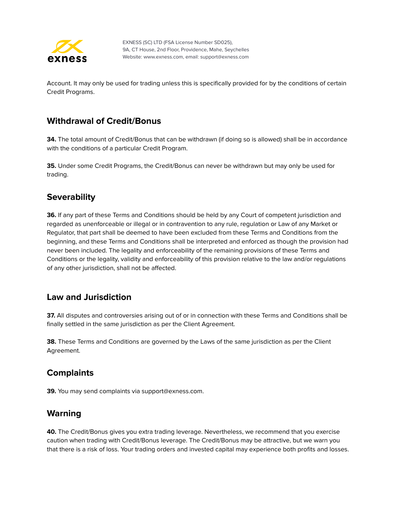

Account. It may only be used for trading unless this is specifically provided for by the conditions of certain Credit Programs.

# **Withdrawal of Credit/Bonus**

**34.** The total amount of Credit/Bonus that can be withdrawn (if doing so is allowed) shall be in accordance with the conditions of a particular Credit Program.

**35.** Under some Credit Programs, the Credit/Bonus can never be withdrawn but may only be used for trading.

## **Severability**

**36.** If any part of these Terms and Conditions should be held by any Court of competent jurisdiction and regarded as unenforceable or illegal or in contravention to any rule, regulation or Law of any Market or Regulator, that part shall be deemed to have been excluded from these Terms and Conditions from the beginning, and these Terms and Conditions shall be interpreted and enforced as though the provision had never been included. The legality and enforceability of the remaining provisions of these Terms and Conditions or the legality, validity and enforceability of this provision relative to the law and/or regulations of any other jurisdiction, shall not be affected.

## **Law and Jurisdiction**

**37.** All disputes and controversies arising out of or in connection with these Terms and Conditions shall be finally settled in the same jurisdiction as per the Client Agreement.

**38.** These Terms and Conditions are governed by the Laws of the same jurisdiction as per the Client Agreement.

## **Complaints**

**39.** You may send complaints via support@exness.com.

# **Warning**

**40.** The Credit/Bonus gives you extra trading leverage. Nevertheless, we recommend that you exercise caution when trading with Credit/Bonus leverage. The Credit/Bonus may be attractive, but we warn you that there is a risk of loss. Your trading orders and invested capital may experience both profits and losses.